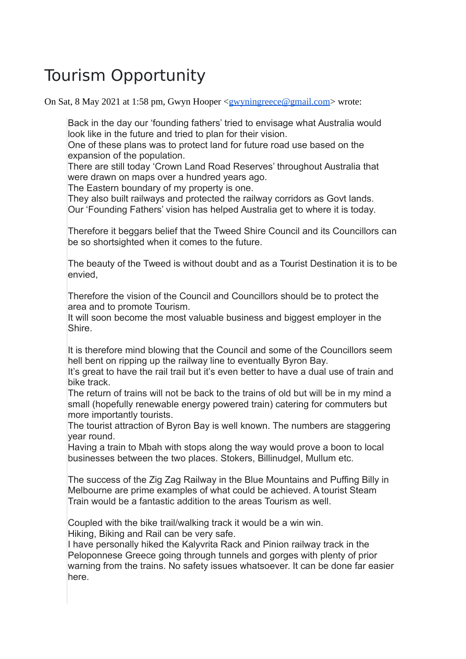## Tourism Opportunity

On Sat, 8 May 2021 at 1:58 pm, Gwyn Hooper [<gwyningreece@gmail.com>](mailto:gwyningreece@gmail.com) wrote:

Back in the day our 'founding fathers' tried to envisage what Australia would look like in the future and tried to plan for their vision.

One of these plans was to protect land for future road use based on the expansion of the population.

There are still today 'Crown Land Road Reserves' throughout Australia that were drawn on maps over a hundred years ago.

The Eastern boundary of my property is one.

They also built railways and protected the railway corridors as Govt lands. Our 'Founding Fathers' vision has helped Australia get to where it is today.

Therefore it beggars belief that the Tweed Shire Council and its Councillors can be so shortsighted when it comes to the future.

The beauty of the Tweed is without doubt and as a Tourist Destination it is to be envied,

Therefore the vision of the Council and Councillors should be to protect the area and to promote Tourism.

It will soon become the most valuable business and biggest employer in the Shire.

It is therefore mind blowing that the Council and some of the Councillors seem hell bent on ripping up the railway line to eventually Byron Bay.

It's great to have the rail trail but it's even better to have a dual use of train and bike track.

The return of trains will not be back to the trains of old but will be in my mind a small (hopefully renewable energy powered train) catering for commuters but more importantly tourists.

The tourist attraction of Byron Bay is well known. The numbers are staggering year round.

Having a train to Mbah with stops along the way would prove a boon to local businesses between the two places. Stokers, Billinudgel, Mullum etc.

The success of the Zig Zag Railway in the Blue Mountains and Puffing Billy in Melbourne are prime examples of what could be achieved. A tourist Steam Train would be a fantastic addition to the areas Tourism as well.

Coupled with the bike trail/walking track it would be a win win.

Hiking, Biking and Rail can be very safe.

I have personally hiked the Kalyvrita Rack and Pinion railway track in the Peloponnese Greece going through tunnels and gorges with plenty of prior warning from the trains. No safety issues whatsoever. It can be done far easier here.